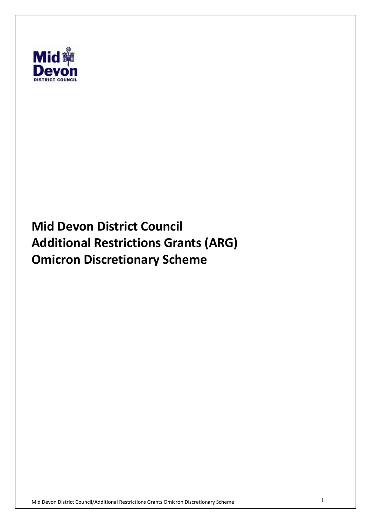

 **Mid Devon District Council Additional Restrictions Grants (ARG) Omicron Discretionary Scheme**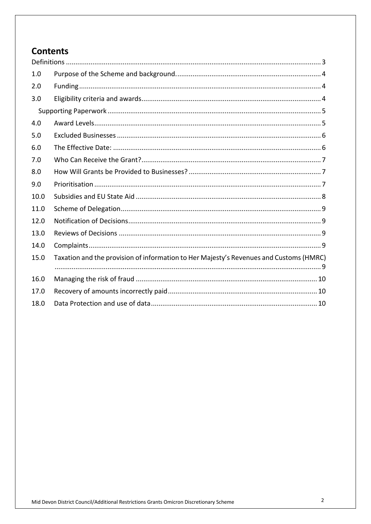# **Contents**

| 1.0  |                                                                                        |  |  |  |
|------|----------------------------------------------------------------------------------------|--|--|--|
| 2.0  |                                                                                        |  |  |  |
| 3.0  |                                                                                        |  |  |  |
|      |                                                                                        |  |  |  |
| 4.0  |                                                                                        |  |  |  |
| 5.0  |                                                                                        |  |  |  |
| 6.0  |                                                                                        |  |  |  |
| 7.0  |                                                                                        |  |  |  |
| 8.0  |                                                                                        |  |  |  |
| 9.0  |                                                                                        |  |  |  |
| 10.0 |                                                                                        |  |  |  |
| 11.0 |                                                                                        |  |  |  |
| 12.0 |                                                                                        |  |  |  |
| 13.0 |                                                                                        |  |  |  |
| 14.0 |                                                                                        |  |  |  |
| 15.0 | Taxation and the provision of information to Her Majesty's Revenues and Customs (HMRC) |  |  |  |
| 16.0 |                                                                                        |  |  |  |
| 17.0 |                                                                                        |  |  |  |
| 18.0 |                                                                                        |  |  |  |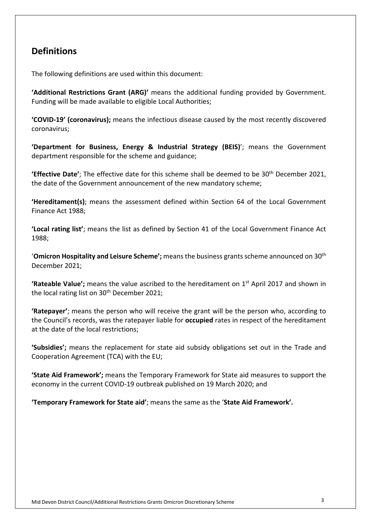### **Definitions**

The following definitions are used within this document:

 **'Additional Restrictions Grant (ARG)'** means the additional funding provided by Government. Funding will be made available to eligible Local Authorities;

 **'COVID-19' (coronavirus);** means the infectious disease caused by the most recently discovered coronavirus;

 **'Department for Business, Energy & Industrial Strategy (BEIS)**'; means the Government department responsible for the scheme and guidance;

 **'Effective Date'**; The effective date for this scheme shall be deemed to be 30th December 2021, the date of the Government announcement of the new mandatory scheme;

 **'Hereditament(s)**; means the assessment defined within Section 64 of the Local Government Finance Act 1988;

 **'Local rating list'**; means the list as defined by Section 41 of the Local Government Finance Act 1988;

 '**Omicron Hospitality and Leisure Scheme';** means the business grants scheme announced on 30th December 2021;

**'Rateable Value';** means the value ascribed to the hereditament on 1<sup>st</sup> April 2017 and shown in the local rating list on 30<sup>th</sup> December 2021;

 **'Ratepayer'**; means the person who will receive the grant will be the person who, according to the Council's records, was the ratepayer liable for **occupied** rates in respect of the hereditament at the date of the local restrictions;

 **'Subsidies';** means the replacement for state aid subsidy obligations set out in the Trade and Cooperation Agreement (TCA) with the EU;

 **'State Aid Framework';** means the Temporary Framework for State aid measures to support the economy in the current COVID-19 outbreak published on 19 March 2020; and

 **'Temporary Framework for State aid'**; means the same as the '**State Aid Framework'.**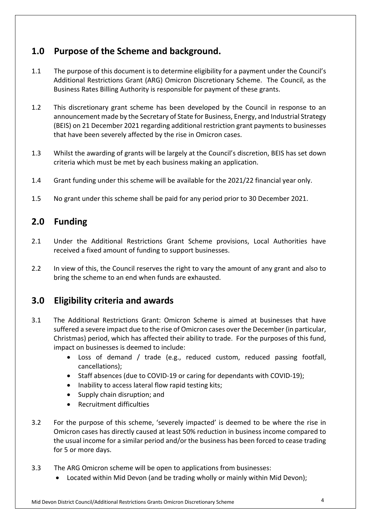# **1.0 Purpose of the Scheme and background.**

- 1.1 The purpose of this document is to determine eligibility for a payment under the Council's Additional Restrictions Grant (ARG) Omicron Discretionary Scheme. The Council, as the Business Rates Billing Authority is responsible for payment of these grants.
- 1.2 This discretionary grant scheme has been developed by the Council in response to an announcement made by the Secretary of State for Business, Energy, and Industrial Strategy (BEIS) on 21 December 2021 regarding additional restriction grant payments to businesses that have been severely affected by the rise in Omicron cases.
- 1.3 Whilst the awarding of grants will be largely at the Council's discretion, BEIS has set down criteria which must be met by each business making an application.
- 1.4 Grant funding under this scheme will be available for the 2021/22 financial year only.
- 1.5 No grant under this scheme shall be paid for any period prior to 30 December 2021.

#### $2.0$ **2.0 Funding**

- $2.1$  received a fixed amount of funding to support businesses. Under the Additional Restrictions Grant Scheme provisions, Local Authorities have
- $2.2$  bring the scheme to an end when funds are exhausted. In view of this, the Council reserves the right to vary the amount of any grant and also to

# **3.0 Eligibility criteria and awards**

- $31$  suffered a severe impact due to the rise of Omicron cases over the December (in particular, Christmas) period, which has affected their ability to trade. For the purposes of this fund, impact on businesses is deemed to include: 3.1 The Additional Restrictions Grant: Omicron Scheme is aimed at businesses that have
	- • Loss of demand / trade (e.g., reduced custom, reduced passing footfall, cancellations);
	- Staff absences (due to COVID-19 or caring for dependants with COVID-19);
	- Inability to access lateral flow rapid testing kits;
	- Supply chain disruption; and
	- Recruitment difficulties
- $3.2$  Omicron cases has directly caused at least 50% reduction in business income compared to the usual income for a similar period and/or the business has been forced to cease trading for 5 or more days. For the purpose of this scheme, 'severely impacted' is deemed to be where the rise in
- $3.3<sub>1</sub>$ 3.3 The ARG Omicron scheme will be open to applications from businesses:
	- Located within Mid Devon (and be trading wholly or mainly within Mid Devon);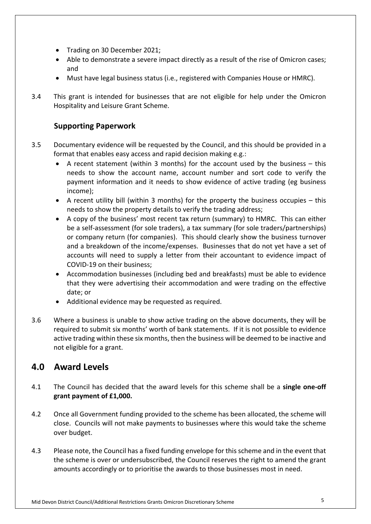- Trading on 30 December 2021;
- • Able to demonstrate a severe impact directly as a result of the rise of Omicron cases; and
- Must have legal business status (i.e., registered with Companies House or HMRC).
- $3.4$  Hospitality and Leisure Grant Scheme. This grant is intended for businesses that are not eligible for help under the Omicron

#### **Supporting Paperwork**

- 3.5 Documentary evidence will be requested by the Council, and this should be provided in a format that enables easy access and rapid decision making e.g.:
	- • A recent statement (within 3 months) for the account used by the business this needs to show the account name, account number and sort code to verify the payment information and it needs to show evidence of active trading (eg business income);
	- • A recent utility bill (within 3 months) for the property the business occupies this needs to show the property details to verify the trading address;
	- • A copy of the business' most recent tax return (summary) to HMRC. This can either be a self-assessment (for sole traders), a tax summary (for sole traders/partnerships) or company return (for companies). This should clearly show the business turnover and a breakdown of the income/expenses. Businesses that do not yet have a set of accounts will need to supply a letter from their accountant to evidence impact of COVID-19 on their business;
	- • Accommodation businesses (including bed and breakfasts) must be able to evidence that they were advertising their accommodation and were trading on the effective date; or
	- Additional evidence may be requested as required.
- 3.6 Where a business is unable to show active trading on the above documents, they will be required to submit six months' worth of bank statements. If it is not possible to evidence active trading within these six months, then the business will be deemed to be inactive and not eligible for a grant.

#### **4.0 Award Levels**

- $4.1$ 4.1 The Council has decided that the award levels for this scheme shall be a **single one-off grant payment of £1,000.**
- $4.2$  close. Councils will not make payments to businesses where this would take the scheme over budget. 4.2 Once all Government funding provided to the scheme has been allocated, the scheme will
- $4.3$  the scheme is over or undersubscribed, the Council reserves the right to amend the grant amounts accordingly or to prioritise the awards to those businesses most in need. Please note, the Council has a fixed funding envelope for this scheme and in the event that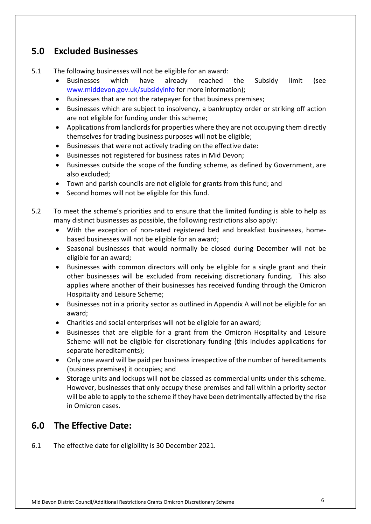# **5.0 Excluded Businesses**

- $5.1$ The following businesses will not be eligible for an award:
	- **Businesses** <www.middevon.gov.uk/subsidyinfo>for more information); • Businesses which have already reached the Subsidy limit (see
	- Businesses that are not the ratepayer for that business premises;
	- • Businesses which are subject to insolvency, a bankruptcy order or striking off action are not eligible for funding under this scheme;
	- • Applications from landlords for properties where they are not occupying them directly themselves for trading business purposes will not be eligible;
	- Businesses that were not actively trading on the effective date:
	- Businesses not registered for business rates in Mid Devon;
	- • Businesses outside the scope of the funding scheme, as defined by Government, are also excluded;
	- Town and parish councils are not eligible for grants from this fund; and
	- Second homes will not be eligible for this fund.
- $5.2$  many distinct businesses as possible, the following restrictions also apply: To meet the scheme's priorities and to ensure that the limited funding is able to help as
	- • With the exception of non-rated registered bed and breakfast businesses, home-based businesses will not be eligible for an award;
	- • Seasonal businesses that would normally be closed during December will not be eligible for an award;
	- • Businesses with common directors will only be eligible for a single grant and their other businesses will be excluded from receiving discretionary funding. This also applies where another of their businesses has received funding through the Omicron Hospitality and Leisure Scheme;
	- • Businesses not in a priority sector as outlined in Appendix A will not be eligible for an award;
	- Charities and social enterprises will not be eligible for an award;
	- • Businesses that are eligible for a grant from the Omicron Hospitality and Leisure Scheme will not be eligible for discretionary funding (this includes applications for separate hereditaments);
	- • Only one award will be paid per business irrespective of the number of hereditaments (business premises) it occupies; and
	- • Storage units and lockups will not be classed as commercial units under this scheme. However, businesses that only occupy these premises and fall within a priority sector will be able to apply to the scheme if they have been detrimentally affected by the rise in Omicron cases.

# **6.0 The Effective Date:**

 $6.1$ The effective date for eligibility is 30 December 2021.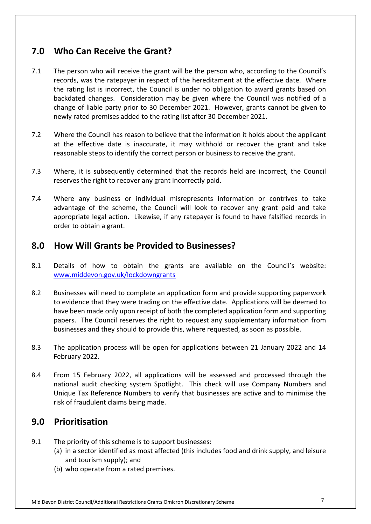# **7.0 Who Can Receive the Grant?**

- $7.1$  records, was the ratepayer in respect of the hereditament at the effective date. Where the rating list is incorrect, the Council is under no obligation to award grants based on backdated changes. Consideration may be given where the Council was notified of a change of liable party prior to 30 December 2021. However, grants cannot be given to newly rated premises added to the rating list after 30 December 2021. The person who will receive the grant will be the person who, according to the Council's
- $7.2$  at the effective date is inaccurate, it may withhold or recover the grant and take reasonable steps to identify the correct person or business to receive the grant. Where the Council has reason to believe that the information it holds about the applicant
- $7.3$  reserves the right to recover any grant incorrectly paid. Where, it is subsequently determined that the records held are incorrect, the Council
- $7.4$  advantage of the scheme, the Council will look to recover any grant paid and take appropriate legal action. Likewise, if any ratepayer is found to have falsified records in order to obtain a grant. Where any business or individual misrepresents information or contrives to take

#### **8.0 How Will Grants be Provided to Businesses?**

- $8.1$ Details of how to obtain the grants are available on the Council's website: <www.middevon.gov.uk/lockdowngrants>
- 8.2 Businesses will need to complete an application form and provide supporting paperwork to evidence that they were trading on the effective date. Applications will be deemed to have been made only upon receipt of both the completed application form and supporting papers. The Council reserves the right to request any supplementary information from businesses and they should to provide this, where requested, as soon as possible.
- $8.3$  February 2022. The application process will be open for applications between 21 January 2022 and 14
- 8.4 From 15 February 2022, all applications will be assessed and processed through the national audit checking system Spotlight. This check will use Company Numbers and Unique Tax Reference Numbers to verify that businesses are active and to minimise the risk of fraudulent claims being made.

# **9.0 Prioritisation**

- $9.1$ The priority of this scheme is to support businesses:
	- (a) in a sector identified as most affected (this includes food and drink supply, and leisure and tourism supply); and
	- (b) who operate from a rated premises.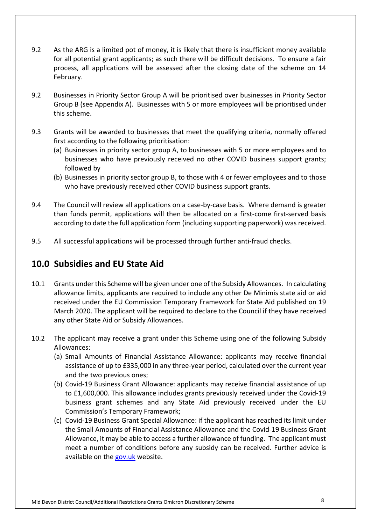- $9.2$  for all potential grant applicants; as such there will be difficult decisions. To ensure a fair process, all applications will be assessed after the closing date of the scheme on 14 February. As the ARG is a limited pot of money, it is likely that there is insufficient money available
- February. 9.2 Businesses in Priority Sector Group A will be prioritised over businesses in Priority Sector Group B (see Appendix A). Businesses with 5 or more employees will be prioritised under this scheme.
- $9.3$  first according to the following prioritisation: Grants will be awarded to businesses that meet the qualifying criteria, normally offered
	- (a) Businesses in priority sector group A, to businesses with 5 or more employees and to businesses who have previously received no other COVID business support grants; followed by
	- (b) Businesses in priority sector group B, to those with 4 or fewer employees and to those who have previously received other COVID business support grants.
- 9.4 The Council will review all applications on a case-by-case basis. Where demand is greater than funds permit, applications will then be allocated on a first-come first-served basis according to date the full application form (including supporting paperwork) was received.
- $9.5$ All successful applications will be processed through further anti-fraud checks.

# **10.0 Subsidies and EU State Aid**

- $10.1$  allowance limits, applicants are required to include any other De Minimis state aid or aid received under the EU Commission Temporary Framework for State Aid published on 19 March 2020. The applicant will be required to declare to the Council if they have received 10.1 Grants under this Scheme will be given under one of the Subsidy Allowances. In calculating any other State Aid or Subsidy Allowances.
- $10.2$ The applicant may receive a grant under this Scheme using one of the following Subsidy Allowances:
	- (a) Small Amounts of Financial Assistance Allowance: applicants may receive financial assistance of up to £335,000 in any three-year period, calculated over the current year and the two previous ones;
	- (b) Covid-19 Business Grant Allowance: applicants may receive financial assistance of up to £1,600,000. This allowance includes grants previously received under the Covid-19 business grant schemes and any State Aid previously received under the EU Commission's Temporary Framework;
	- (c) Covid-19 Business Grant Special Allowance: if the applicant has reached its limit under the Small Amounts of Financial Assistance Allowance and the Covid-19 Business Grant Allowance, it may be able to access a further allowance of funding. The applicant must meet a number of conditions before any subsidy can be received. Further advice is available on the **gov.uk** website.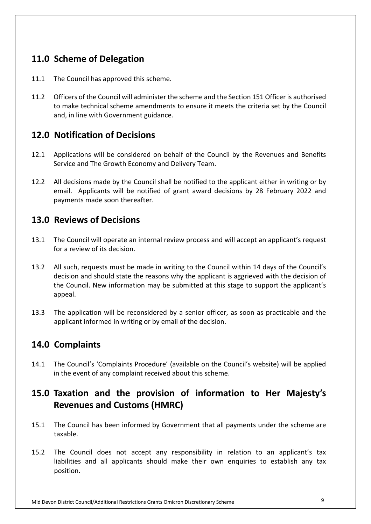# **11.0 Scheme of Delegation**

- 11.1 The Council has approved this scheme.
- $11.2$  to make technical scheme amendments to ensure it meets the criteria set by the Council and, in line with Government guidance. 11.2 Officers of the Council will administer the scheme and the Section 151 Officer is authorised

### **12.0 Notification of Decisions**

- 12.1 Applications will be considered on behalf of the Council by the Revenues and Benefits Service and The Growth Economy and Delivery Team.
- $12.2$  email. Applicants will be notified of grant award decisions by 28 February 2022 and payments made soon thereafter. All decisions made by the Council shall be notified to the applicant either in writing or by

#### **13.0 Reviews of Decisions**

- $13.1$  for a review of its decision. 13.1 The Council will operate an internal review process and will accept an applicant's request
- $13.2$  decision and should state the reasons why the applicant is aggrieved with the decision of the Council. New information may be submitted at this stage to support the applicant's appeal. All such, requests must be made in writing to the Council within 14 days of the Council's
- $13.3$  applicant informed in writing or by email of the decision. The application will be reconsidered by a senior officer, as soon as practicable and the

# **14.0 Complaints**

 $14.1$  in the event of any complaint received about this scheme. 14.1 The Council's 'Complaints Procedure' (available on the Council's website) will be applied

# **15.0 Taxation and the provision of information to Her Majesty's Revenues and Customs (HMRC)**

- $15.1$ taxable. The Council has been informed by Government that all payments under the scheme are
- $15.2$  liabilities and all applicants should make their own enquiries to establish any tax The Council does not accept any responsibility in relation to an applicant's tax position.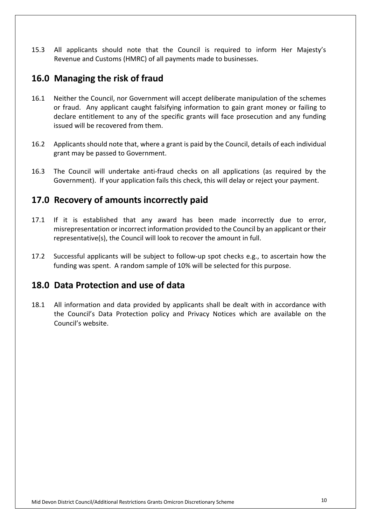15.3 Revenue and Customs (HMRC) of all payments made to businesses. All applicants should note that the Council is required to inform Her Majesty's

### **16.0 Managing the risk of fraud**

- $16.1$  or fraud. Any applicant caught falsifying information to gain grant money or failing to declare entitlement to any of the specific grants will face prosecution and any funding issued will be recovered from them. Neither the Council, nor Government will accept deliberate manipulation of the schemes
- 16.2 Applicants should note that, where a grant is paid by the Council, details of each individual grant may be passed to Government.
- 16.3 The Council will undertake anti-fraud checks on all applications (as required by the Government). If your application fails this check, this will delay or reject your payment.

#### **17.0 Recovery of amounts incorrectly paid**

- $17.1$  misrepresentation or incorrect information provided to the Council by an applicant or their representative(s), the Council will look to recover the amount in full. If it is established that any award has been made incorrectly due to error,
- 17.2 Successful applicants will be subject to follow-up spot checks e.g., to ascertain how the funding was spent. A random sample of 10% will be selected for this purpose.

#### **18.0 Data Protection and use of data**

 $18.1$  Council's website. 18.1 All information and data provided by applicants shall be dealt with in accordance with the Council's Data Protection policy and Privacy Notices which are available on the